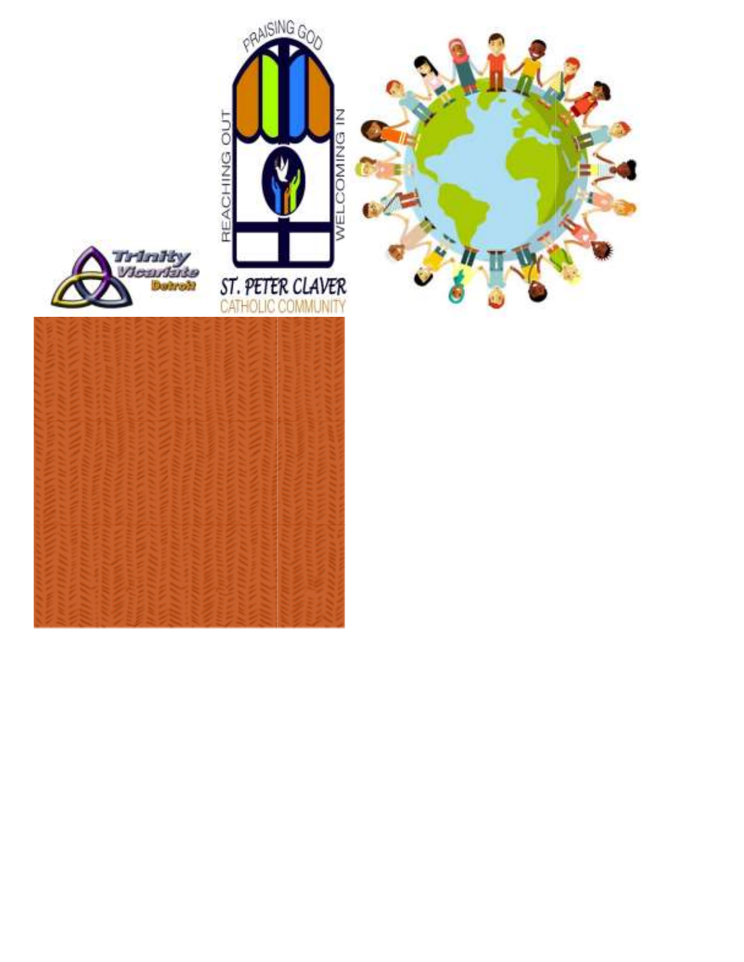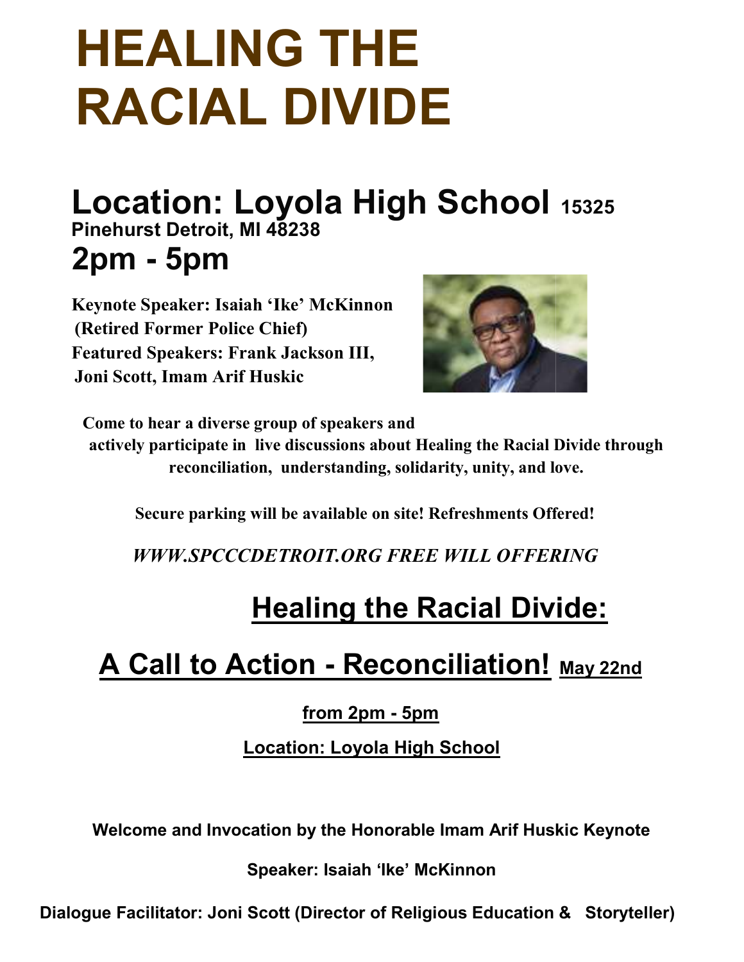### HEALING THE RACIAL DIVIDE

# Location: Loyola High School · Pinehurst Detroit, MI 48238 2pm - 5pm **COVOIA HIGN SCNOOI** 15325<br>
All 48238<br>
Ah 'Ike' McKinnon<br>
e Chief)<br>
ank Jackson III,<br>
Huskic<br>
group of speakers and<br>
live discussions about Healing the Racial Divide th<br>
will be available on site! Refreshments Offered!<br>
DE

Keynote Speaker: Isaiah 'Ike' McKinnon (Retired Former Police Chief) Featured Speakers: Frank Jackson III, Joni Scott, Imam Arif Huskic (Retired<br>Featured<br>Joni Scot



Come to hear a diverse group of speakers and

actively participate in live discussions about Healing the Racial Divide through reconciliation, understanding, solidarity, unity, and love. Come to hear a diverse group of speakers<br>actively participate in live discussions ab<br>reconciliation, understanding<br>Secure parking will be available on

Secure parking will be available on site! Refreshments Offered!

WWW.SPCCCDETROIT.ORG FREE WILL OFFERING

#### **Healing the Racial Divide:**

## **Healing the Racial Divide:**<br><u>A Call to Action - Reconciliation! May 22nd</u>

from 2pm - 5pm

Location: Loyola High School

Welcome and Invocation by the Honorable Imam Arif Huskic Keynote

Speaker: Isaiah 'Ike' McKinnon

Dialogue Facilitator: Joni Scott (Director of Religious Education & Storyteller)